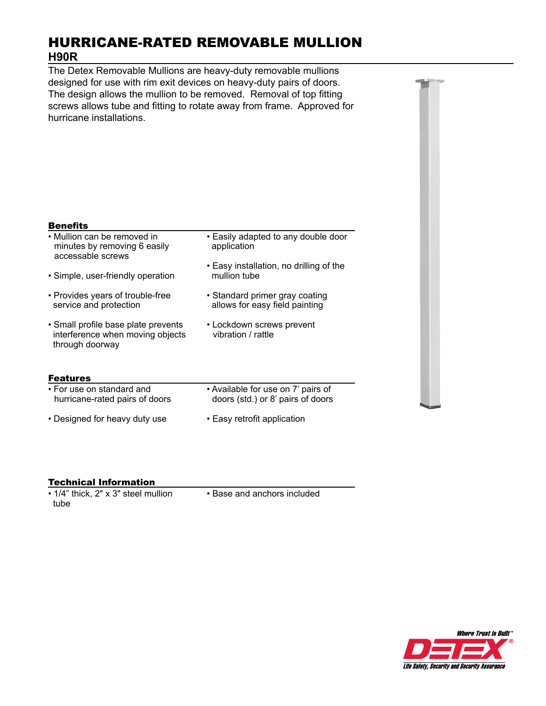# HURRICANE-RATED REMOVABLE MULLION **H90R**

The Detex Removable Mullions are heavy-duty removable mullions designed for use with rim exit devices on heavy-duty pairs of doors. The design allows the mullion to be removed. Removal of top fitting screws allows tube and fitting to rotate away from frame. Approved for hurricane installations.

### **Benefits**

| • Mullion can be removed in<br>minutes by removing 6 easily<br>accessable screws<br>• Simple, user-friendly operation | • Easily adapted to any double door<br>application<br>• Easy installation, no drilling of the<br>mullion tube |
|-----------------------------------------------------------------------------------------------------------------------|---------------------------------------------------------------------------------------------------------------|
|                                                                                                                       |                                                                                                               |
| · Small profile base plate prevents<br>interference when moving objects<br>through doorway                            | • Lockdown screws prevent<br>vibration / rattle                                                               |
| <b>Features</b>                                                                                                       |                                                                                                               |
| • For use on standard and<br>hurricane-rated pairs of doors                                                           | • Available for use on 7' pairs of<br>doors (std.) or 8' pairs of doors                                       |
| • Designed for heavy duty use                                                                                         | • Easy retrofit application                                                                                   |

### Technical Information

• 1/4" thick, 2" x 3" steel mullion tube

• Base and anchors included